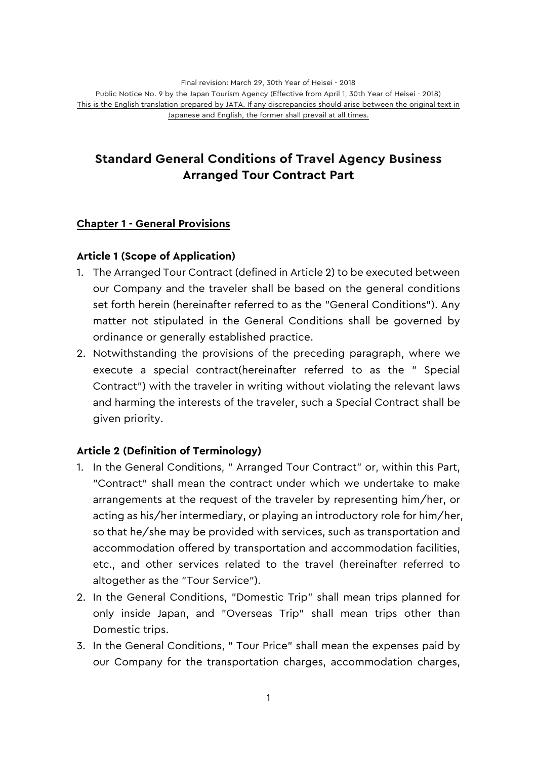# **Standard General Conditions of Travel Agency Business Arranged Tour Contract Part**

### **Chapter 1 - General Provisions**

### **Article 1 (Scope of Application)**

- 1. The Arranged Tour Contract (defined in Article 2) to be executed between our Company and the traveler shall be based on the general conditions set forth herein (hereinafter referred to as the "General Conditions"). Any matter not stipulated in the General Conditions shall be governed by ordinance or generally established practice.
- 2. Notwithstanding the provisions of the preceding paragraph, where we execute a special contract(hereinafter referred to as the " Special Contract") with the traveler in writing without violating the relevant laws and harming the interests of the traveler, such a Special Contract shall be given priority.

### **Article 2 (Definition of Terminology)**

- 1. In the General Conditions, " Arranged Tour Contract" or, within this Part, "Contract" shall mean the contract under which we undertake to make arrangements at the request of the traveler by representing him/her, or acting as his/her intermediary, or playing an introductory role for him/her, so that he/she may be provided with services, such as transportation and accommodation offered by transportation and accommodation facilities, etc., and other services related to the travel (hereinafter referred to altogether as the "Tour Service").
- 2. In the General Conditions, "Domestic Trip" shall mean trips planned for only inside Japan, and "Overseas Trip" shall mean trips other than Domestic trips.
- 3. In the General Conditions, " Tour Price" shall mean the expenses paid by our Company for the transportation charges, accommodation charges,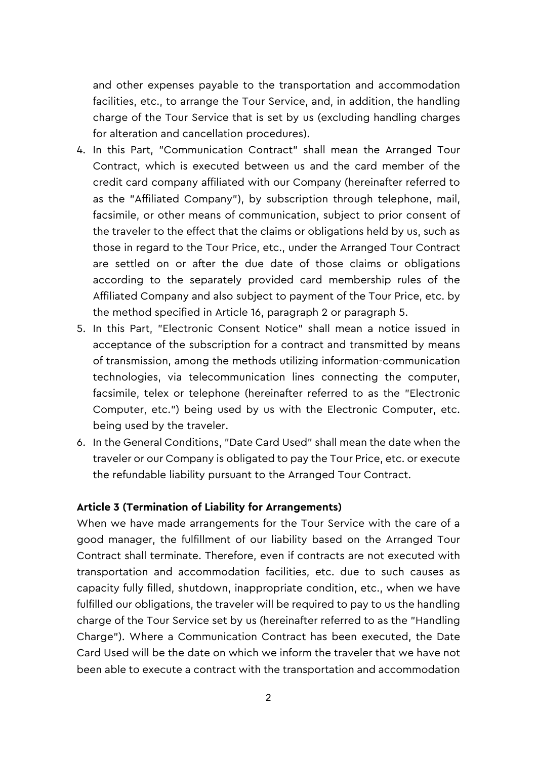and other expenses payable to the transportation and accommodation facilities, etc., to arrange the Tour Service, and, in addition, the handling charge of the Tour Service that is set by us (excluding handling charges for alteration and cancellation procedures).

- 4. In this Part, "Communication Contract" shall mean the Arranged Tour Contract, which is executed between us and the card member of the credit card company affiliated with our Company (hereinafter referred to as the "Affiliated Company"), by subscription through telephone, mail, facsimile, or other means of communication, subject to prior consent of the traveler to the effect that the claims or obligations held by us, such as those in regard to the Tour Price, etc., under the Arranged Tour Contract are settled on or after the due date of those claims or obligations according to the separately provided card membership rules of the Affiliated Company and also subject to payment of the Tour Price, etc. by the method specified in Article 16, paragraph 2 or paragraph 5.
- 5. In this Part, "Electronic Consent Notice" shall mean a notice issued in acceptance of the subscription for a contract and transmitted by means of transmission, among the methods utilizing information-communication technologies, via telecommunication lines connecting the computer, facsimile, telex or telephone (hereinafter referred to as the "Electronic Computer, etc.") being used by us with the Electronic Computer, etc. being used by the traveler.
- 6. In the General Conditions, "Date Card Used" shall mean the date when the traveler or our Company is obligated to pay the Tour Price, etc. or execute the refundable liability pursuant to the Arranged Tour Contract.

#### **Article 3 (Termination of Liability for Arrangements)**

When we have made arrangements for the Tour Service with the care of a good manager, the fulfillment of our liability based on the Arranged Tour Contract shall terminate. Therefore, even if contracts are not executed with transportation and accommodation facilities, etc. due to such causes as capacity fully filled, shutdown, inappropriate condition, etc., when we have fulfilled our obligations, the traveler will be required to pay to us the handling charge of the Tour Service set by us (hereinafter referred to as the "Handling Charge"). Where a Communication Contract has been executed, the Date Card Used will be the date on which we inform the traveler that we have not been able to execute a contract with the transportation and accommodation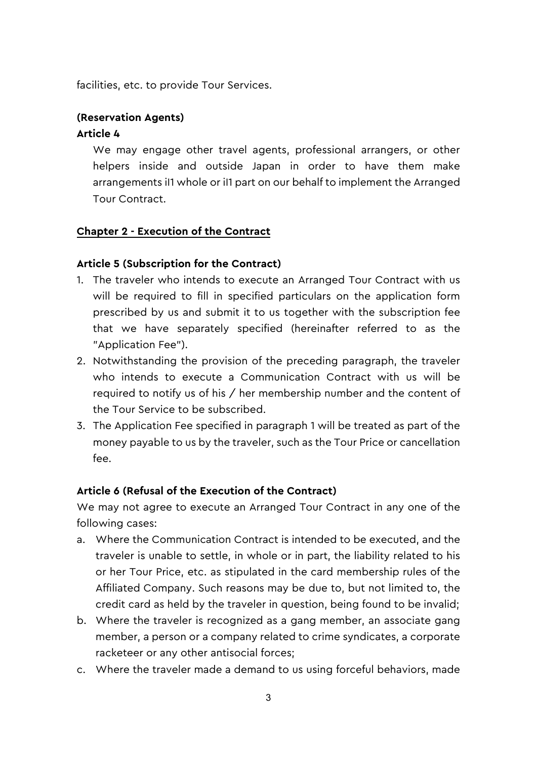facilities, etc. to provide Tour Services.

### **(Reservation Agents)**

### **Article 4**

We may engage other travel agents, professional arrangers, or other helpers inside and outside Japan in order to have them make arrangements iI1 whole or iI1 part on our behalf to implement the Arranged Tour Contract.

### **Chapter 2 - Execution of the Contract**

### **Article 5 (Subscription for the Contract)**

- 1. The traveler who intends to execute an Arranged Tour Contract with us will be required to fill in specified particulars on the application form prescribed by us and submit it to us together with the subscription fee that we have separately specified (hereinafter referred to as the "Application Fee").
- 2. Notwithstanding the provision of the preceding paragraph, the traveler who intends to execute a Communication Contract with us will be required to notify us of his / her membership number and the content of the Tour Service to be subscribed.
- 3. The Application Fee specified in paragraph 1 will be treated as part of the money payable to us by the traveler, such as the Tour Price or cancellation fee.

### **Article 6 (Refusal of the Execution of the Contract)**

We may not agree to execute an Arranged Tour Contract in any one of the following cases:

- a. Where the Communication Contract is intended to be executed, and the traveler is unable to settle, in whole or in part, the liability related to his or her Tour Price, etc. as stipulated in the card membership rules of the Affiliated Company. Such reasons may be due to, but not limited to, the credit card as held by the traveler in question, being found to be invalid;
- b. Where the traveler is recognized as a gang member, an associate gang member, a person or a company related to crime syndicates, a corporate racketeer or any other antisocial forces;
- c. Where the traveler made a demand to us using forceful behaviors, made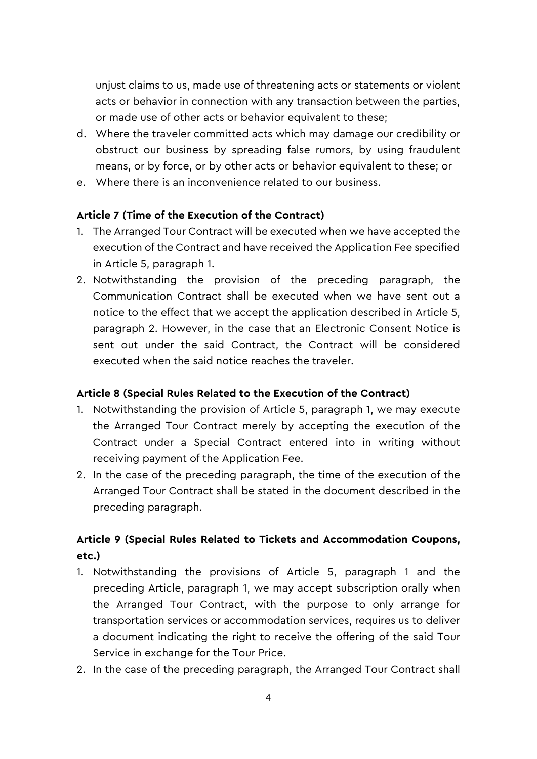unjust claims to us, made use of threatening acts or statements or violent acts or behavior in connection with any transaction between the parties, or made use of other acts or behavior equivalent to these;

- d. Where the traveler committed acts which may damage our credibility or obstruct our business by spreading false rumors, by using fraudulent means, or by force, or by other acts or behavior equivalent to these; or
- e. Where there is an inconvenience related to our business.

### **Article 7 (Time of the Execution of the Contract)**

- 1. The Arranged Tour Contract will be executed when we have accepted the execution of the Contract and have received the Application Fee specified in Article 5, paragraph 1.
- 2. Notwithstanding the provision of the preceding paragraph, the Communication Contract shall be executed when we have sent out a notice to the effect that we accept the application described in Article 5, paragraph 2. However, in the case that an Electronic Consent Notice is sent out under the said Contract, the Contract will be considered executed when the said notice reaches the traveler.

### **Article 8 (Special Rules Related to the Execution of the Contract)**

- 1. Notwithstanding the provision of Article 5, paragraph 1, we may execute the Arranged Tour Contract merely by accepting the execution of the Contract under a Special Contract entered into in writing without receiving payment of the Application Fee.
- 2. In the case of the preceding paragraph, the time of the execution of the Arranged Tour Contract shall be stated in the document described in the preceding paragraph.

# **Article 9 (Special Rules Related to Tickets and Accommodation Coupons, etc.)**

- 1. Notwithstanding the provisions of Article 5, paragraph 1 and the preceding Article, paragraph 1, we may accept subscription orally when the Arranged Tour Contract, with the purpose to only arrange for transportation services or accommodation services, requires us to deliver a document indicating the right to receive the offering of the said Tour Service in exchange for the Tour Price.
- 2. In the case of the preceding paragraph, the Arranged Tour Contract shall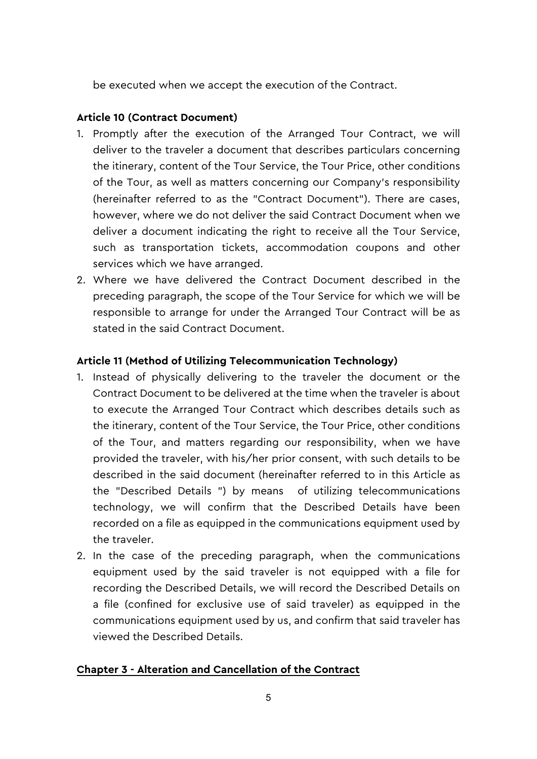be executed when we accept the execution of the Contract.

### **Article 10 (Contract Document)**

- 1. Promptly after the execution of the Arranged Tour Contract, we will deliver to the traveler a document that describes particulars concerning the itinerary, content of the Tour Service, the Tour Price, other conditions of the Tour, as well as matters concerning our Company's responsibility (hereinafter referred to as the "Contract Document"). There are cases, however, where we do not deliver the said Contract Document when we deliver a document indicating the right to receive all the Tour Service, such as transportation tickets, accommodation coupons and other services which we have arranged.
- 2. Where we have delivered the Contract Document described in the preceding paragraph, the scope of the Tour Service for which we will be responsible to arrange for under the Arranged Tour Contract will be as stated in the said Contract Document.

### **Article 11 (Method of Utilizing Telecommunication Technology)**

- 1. Instead of physically delivering to the traveler the document or the Contract Document to be delivered at the time when the traveler is about to execute the Arranged Tour Contract which describes details such as the itinerary, content of the Tour Service, the Tour Price, other conditions of the Tour, and matters regarding our responsibility, when we have provided the traveler, with his/her prior consent, with such details to be described in the said document (hereinafter referred to in this Article as the "Described Details ") by means of utilizing telecommunications technology, we will confirm that the Described Details have been recorded on a file as equipped in the communications equipment used by the traveler.
- 2. In the case of the preceding paragraph, when the communications equipment used by the said traveler is not equipped with a file for recording the Described Details, we will record the Described Details on a file (confined for exclusive use of said traveler) as equipped in the communications equipment used by us, and confirm that said traveler has viewed the Described Details.

### **Chapter 3 - Alteration and Cancellation of the Contract**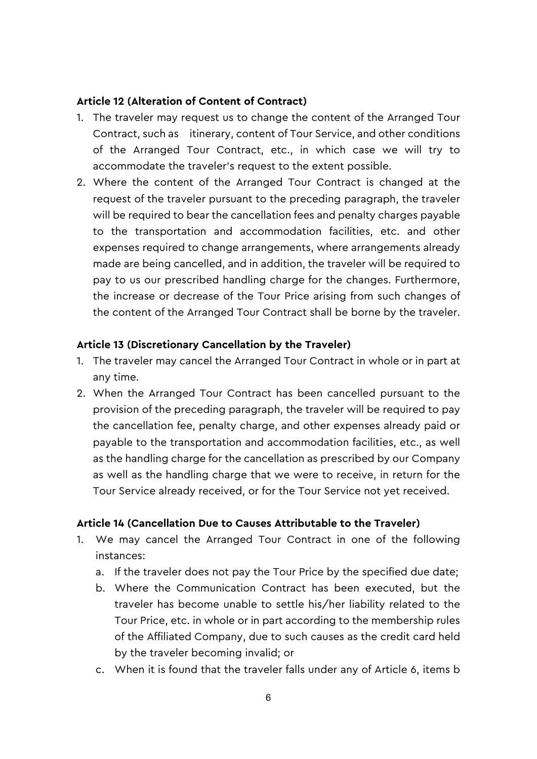#### **Article 12 (Alteration of Content of Contract)**

- 1. The traveler may request us to change the content of the Arranged Tour Contract, such as itinerary, content of Tour Service, and other conditions of the Arranged Tour Contract, etc., in which case we will try to accommodate the traveler's request to the extent possible.
- 2. Where the content of the Arranged Tour Contract is changed at the request of the traveler pursuant to the preceding paragraph, the traveler will be required to bear the cancellation fees and penalty charges payable to the transportation and accommodation facilities, etc. and other expenses required to change arrangements, where arrangements already made are being cancelled, and in addition, the traveler will be required to pay to us our prescribed handling charge for the changes. Furthermore, the increase or decrease of the Tour Price arising from such changes of the content of the Arranged Tour Contract shall be borne by the traveler.

#### **Article 13 (Discretionary Cancellation by the Traveler)**

- 1. The traveler may cancel the Arranged Tour Contract in whole or in part at any time.
- 2. When the Arranged Tour Contract has been cancelled pursuant to the provision of the preceding paragraph, the traveler will be required to pay the cancellation fee, penalty charge, and other expenses already paid or payable to the transportation and accommodation facilities, etc., as well as the handling charge for the cancellation as prescribed by our Company as well as the handling charge that we were to receive, in return for the Tour Service already received, or for the Tour Service not yet received.

#### **Article 14 (Cancellation Due to Causes Attributable to the Traveler)**

- 1. We may cancel the Arranged Tour Contract in one of the following instances:
	- a. If the traveler does not pay the Tour Price by the specified due date;
	- b. Where the Communication Contract has been executed, but the traveler has become unable to settle his/her liability related to the Tour Price, etc. in whole or in part according to the membership rules of the Affiliated Company, due to such causes as the credit card held by the traveler becoming invalid; or
	- c. When it is found that the traveler falls under any of Article 6, items b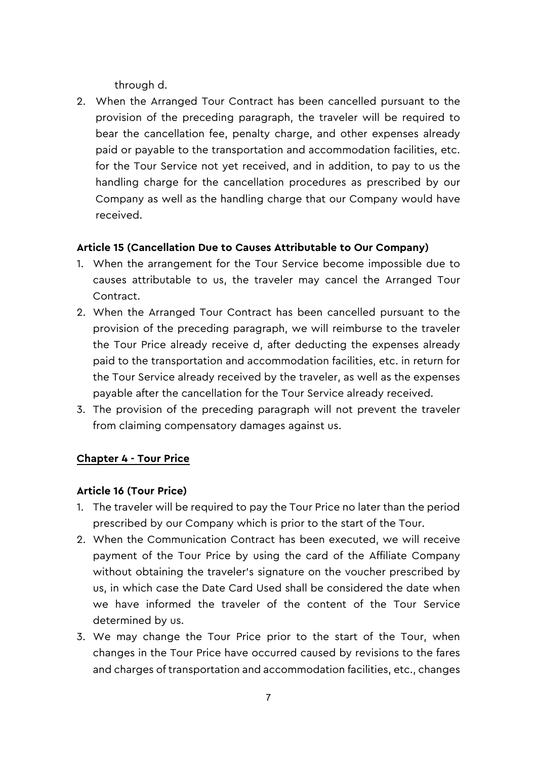through d.

2. When the Arranged Tour Contract has been cancelled pursuant to the provision of the preceding paragraph, the traveler will be required to bear the cancellation fee, penalty charge, and other expenses already paid or payable to the transportation and accommodation facilities, etc. for the Tour Service not yet received, and in addition, to pay to us the handling charge for the cancellation procedures as prescribed by our Company as well as the handling charge that our Company would have received.

### **Article 15 (Cancellation Due to Causes Attributable to Our Company)**

- 1. When the arrangement for the Tour Service become impossible due to causes attributable to us, the traveler may cancel the Arranged Tour Contract.
- 2. When the Arranged Tour Contract has been cancelled pursuant to the provision of the preceding paragraph, we will reimburse to the traveler the Tour Price already receive d, after deducting the expenses already paid to the transportation and accommodation facilities, etc. in return for the Tour Service already received by the traveler, as well as the expenses payable after the cancellation for the Tour Service already received.
- 3. The provision of the preceding paragraph will not prevent the traveler from claiming compensatory damages against us.

### **Chapter 4 - Tour Price**

### **Article 16 (Tour Price)**

- 1. The traveler will be required to pay the Tour Price no later than the period prescribed by our Company which is prior to the start of the Tour.
- 2. When the Communication Contract has been executed, we will receive payment of the Tour Price by using the card of the Affiliate Company without obtaining the traveler's signature on the voucher prescribed by us, in which case the Date Card Used shall be considered the date when we have informed the traveler of the content of the Tour Service determined by us.
- 3. We may change the Tour Price prior to the start of the Tour, when changes in the Tour Price have occurred caused by revisions to the fares and charges of transportation and accommodation facilities, etc., changes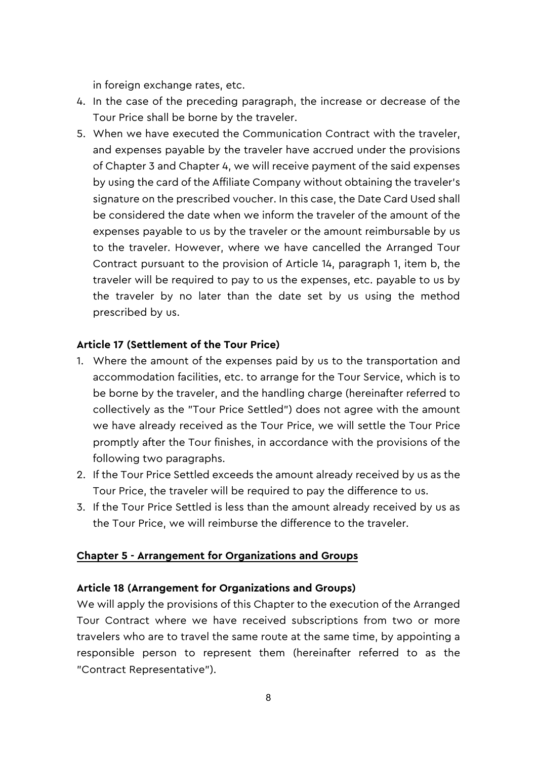in foreign exchange rates, etc.

- 4. In the case of the preceding paragraph, the increase or decrease of the Tour Price shall be borne by the traveler.
- 5. When we have executed the Communication Contract with the traveler, and expenses payable by the traveler have accrued under the provisions of Chapter 3 and Chapter 4, we will receive payment of the said expenses by using the card of the Affiliate Company without obtaining the traveler's signature on the prescribed voucher. In this case, the Date Card Used shall be considered the date when we inform the traveler of the amount of the expenses payable to us by the traveler or the amount reimbursable by us to the traveler. However, where we have cancelled the Arranged Tour Contract pursuant to the provision of Article 14, paragraph 1, item b, the traveler will be required to pay to us the expenses, etc. payable to us by the traveler by no later than the date set by us using the method prescribed by us.

### **Article 17 (Settlement of the Tour Price)**

- 1. Where the amount of the expenses paid by us to the transportation and accommodation facilities, etc. to arrange for the Tour Service, which is to be borne by the traveler, and the handling charge (hereinafter referred to collectively as the "Tour Price Settled") does not agree with the amount we have already received as the Tour Price, we will settle the Tour Price promptly after the Tour finishes, in accordance with the provisions of the following two paragraphs.
- 2. If the Tour Price Settled exceeds the amount already received by us as the Tour Price, the traveler will be required to pay the difference to us.
- 3. If the Tour Price Settled is less than the amount already received by us as the Tour Price, we will reimburse the difference to the traveler.

#### **Chapter 5 - Arrangement for Organizations and Groups**

#### **Article 18 (Arrangement for Organizations and Groups)**

We will apply the provisions of this Chapter to the execution of the Arranged Tour Contract where we have received subscriptions from two or more travelers who are to travel the same route at the same time, by appointing a responsible person to represent them (hereinafter referred to as the "Contract Representative").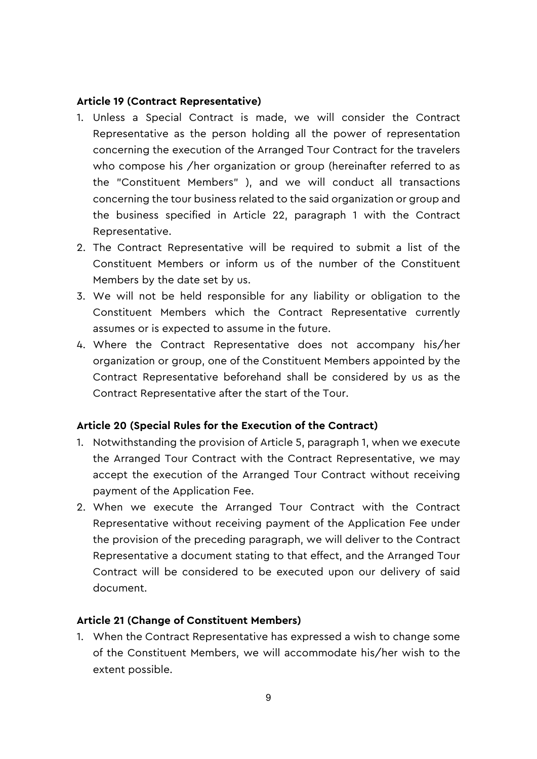#### **Article 19 (Contract Representative)**

- 1. Unless a Special Contract is made, we will consider the Contract Representative as the person holding all the power of representation concerning the execution of the Arranged Tour Contract for the travelers who compose his /her organization or group (hereinafter referred to as the "Constituent Members" ), and we will conduct all transactions concerning the tour business related to the said organization or group and the business specified in Article 22, paragraph 1 with the Contract Representative.
- 2. The Contract Representative will be required to submit a list of the Constituent Members or inform us of the number of the Constituent Members by the date set by us.
- 3. We will not be held responsible for any liability or obligation to the Constituent Members which the Contract Representative currently assumes or is expected to assume in the future.
- 4. Where the Contract Representative does not accompany his/her organization or group, one of the Constituent Members appointed by the Contract Representative beforehand shall be considered by us as the Contract Representative after the start of the Tour.

### **Article 20 (Special Rules for the Execution of the Contract)**

- 1. Notwithstanding the provision of Article 5, paragraph 1, when we execute the Arranged Tour Contract with the Contract Representative, we may accept the execution of the Arranged Tour Contract without receiving payment of the Application Fee.
- 2. When we execute the Arranged Tour Contract with the Contract Representative without receiving payment of the Application Fee under the provision of the preceding paragraph, we will deliver to the Contract Representative a document stating to that effect, and the Arranged Tour Contract will be considered to be executed upon our delivery of said document.

#### **Article 21 (Change of Constituent Members)**

1. When the Contract Representative has expressed a wish to change some of the Constituent Members, we will accommodate his/her wish to the extent possible.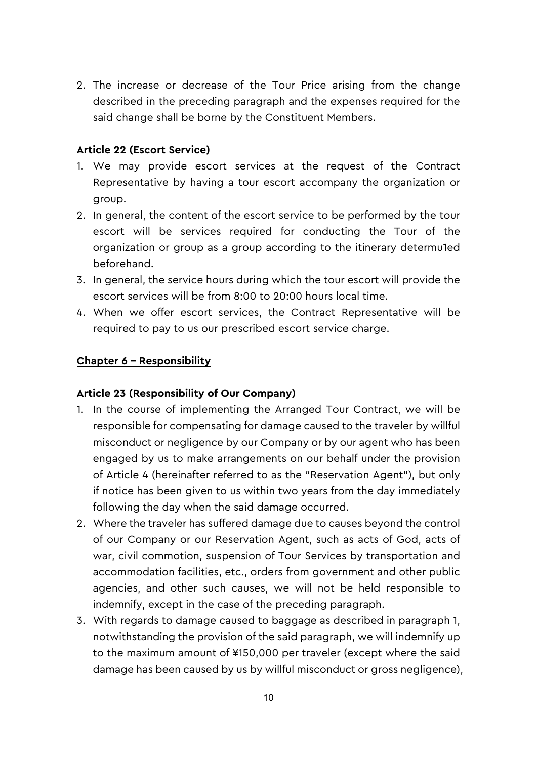2. The increase or decrease of the Tour Price arising from the change described in the preceding paragraph and the expenses required for the said change shall be borne by the Constituent Members.

### **Article 22 (Escort Service)**

- 1. We may provide escort services at the request of the Contract Representative by having a tour escort accompany the organization or group.
- 2. In general, the content of the escort service to be performed by the tour escort will be services required for conducting the Tour of the organization or group as a group according to the itinerary determu1ed beforehand.
- 3. In general, the service hours during which the tour escort will provide the escort services will be from 8:00 to 20:00 hours local time.
- 4. When we offer escort services, the Contract Representative will be required to pay to us our prescribed escort service charge.

### **Chapter 6 – Responsibility**

### **Article 23 (Responsibility of Our Company)**

- 1. In the course of implementing the Arranged Tour Contract, we will be responsible for compensating for damage caused to the traveler by willful misconduct or negligence by our Company or by our agent who has been engaged by us to make arrangements on our behalf under the provision of Article 4 (hereinafter referred to as the "Reservation Agent"), but only if notice has been given to us within two years from the day immediately following the day when the said damage occurred.
- 2. Where the traveler has suffered damage due to causes beyond the control of our Company or our Reservation Agent, such as acts of God, acts of war, civil commotion, suspension of Tour Services by transportation and accommodation facilities, etc., orders from government and other public agencies, and other such causes, we will not be held responsible to indemnify, except in the case of the preceding paragraph.
- 3. With regards to damage caused to baggage as described in paragraph 1, notwithstanding the provision of the said paragraph, we will indemnify up to the maximum amount of ¥150,000 per traveler (except where the said damage has been caused by us by willful misconduct or gross negligence),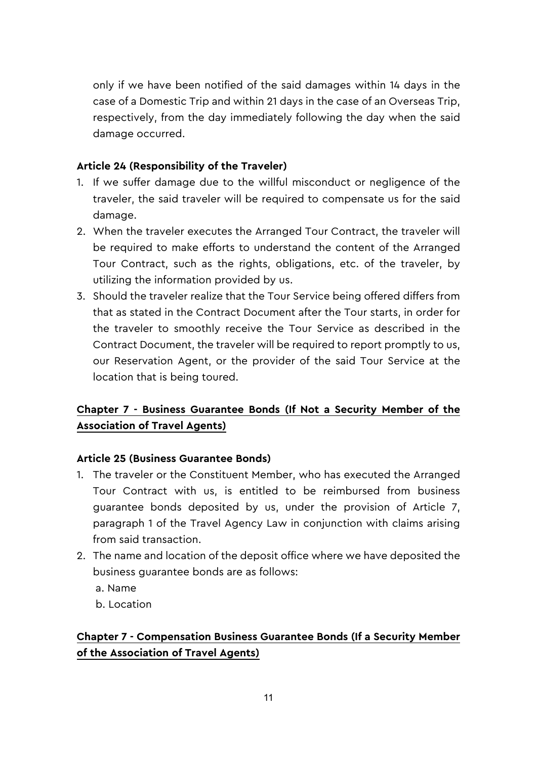only if we have been notified of the said damages within 14 days in the case of a Domestic Trip and within 21 days in the case of an Overseas Trip, respectively, from the day immediately following the day when the said damage occurred.

### **Article 24 (Responsibility of the Traveler)**

- 1. If we suffer damage due to the willful misconduct or negligence of the traveler, the said traveler will be required to compensate us for the said damage.
- 2. When the traveler executes the Arranged Tour Contract, the traveler will be required to make efforts to understand the content of the Arranged Tour Contract, such as the rights, obligations, etc. of the traveler, by utilizing the information provided by us.
- 3. Should the traveler realize that the Tour Service being offered differs from that as stated in the Contract Document after the Tour starts, in order for the traveler to smoothly receive the Tour Service as described in the Contract Document, the traveler will be required to report promptly to us, our Reservation Agent, or the provider of the said Tour Service at the location that is being toured.

# **Chapter 7 - Business Guarantee Bonds (If Not a Security Member of the Association of Travel Agents)**

### **Article 25 (Business Guarantee Bonds)**

- 1. The traveler or the Constituent Member, who has executed the Arranged Tour Contract with us, is entitled to be reimbursed from business guarantee bonds deposited by us, under the provision of Article 7, paragraph 1 of the Travel Agency Law in conjunction with claims arising from said transaction.
- 2. The name and location of the deposit office where we have deposited the business guarantee bonds are as follows:
	- a. Name
	- b. Location

# **Chapter 7 - Compensation Business Guarantee Bonds (If a Security Member of the Association of Travel Agents)**